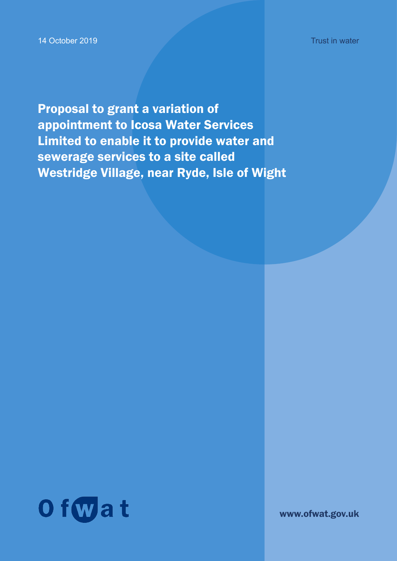14 October 2019

Proposal to grant a variation of appointment to Icosa Water Services Limited to enable it to provide water and sewerage services to a site called Westridge Village, near Ryde, Isle of Wight



www.ofwat.gov.uk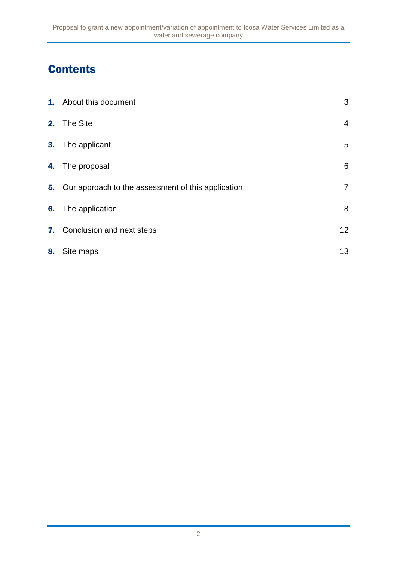# **Contents**

|    | <b>1.</b> About this document                         | 3               |
|----|-------------------------------------------------------|-----------------|
|    | 2. The Site                                           | $\overline{4}$  |
|    | 3. The applicant                                      | 5               |
|    | 4. The proposal                                       | $6\phantom{1}6$ |
|    | 5. Our approach to the assessment of this application | $\overline{7}$  |
|    | <b>6.</b> The application                             | 8               |
|    | 7. Conclusion and next steps                          | 12 <sup>°</sup> |
| 8. | Site maps                                             | 13              |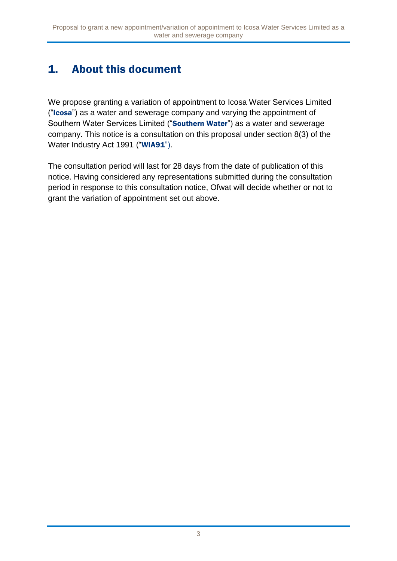# 1. About this document

We propose granting a variation of appointment to Icosa Water Services Limited ("Icosa") as a water and sewerage company and varying the appointment of Southern Water Services Limited ("Southern Water") as a water and sewerage company. This notice is a consultation on this proposal under section 8(3) of the Water Industry Act 1991 ("WIA91").

The consultation period will last for 28 days from the date of publication of this notice. Having considered any representations submitted during the consultation period in response to this consultation notice, Ofwat will decide whether or not to grant the variation of appointment set out above.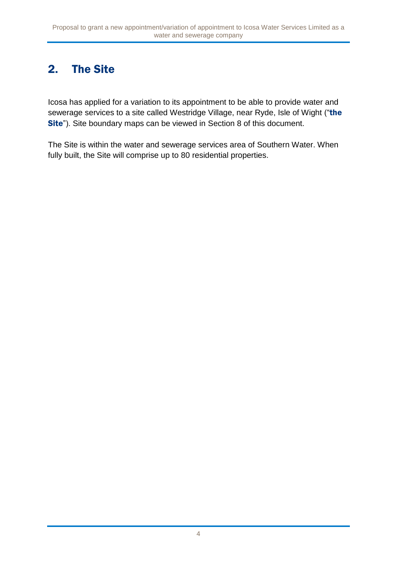# 2. The Site

Icosa has applied for a variation to its appointment to be able to provide water and sewerage services to a site called Westridge Village, near Ryde, Isle of Wight ("the Site"). Site boundary maps can be viewed in Section 8 of this document.

The Site is within the water and sewerage services area of Southern Water. When fully built, the Site will comprise up to 80 residential properties.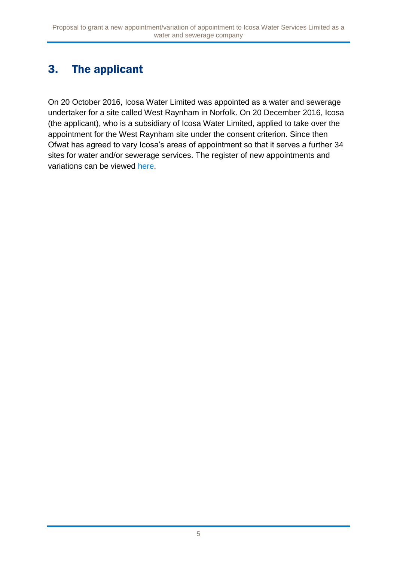# 3. The applicant

On 20 October 2016, Icosa Water Limited was appointed as a water and sewerage undertaker for a site called West Raynham in Norfolk. On 20 December 2016, Icosa (the applicant), who is a subsidiary of Icosa Water Limited, applied to take over the appointment for the West Raynham site under the consent criterion. Since then Ofwat has agreed to vary Icosa's areas of appointment so that it serves a further 34 sites for water and/or sewerage services. The register of new appointments and variations can be viewed [here.](http://www.ofwat.gov.uk/publication/register-of-new-appointments-and-variations-granted-to-date/)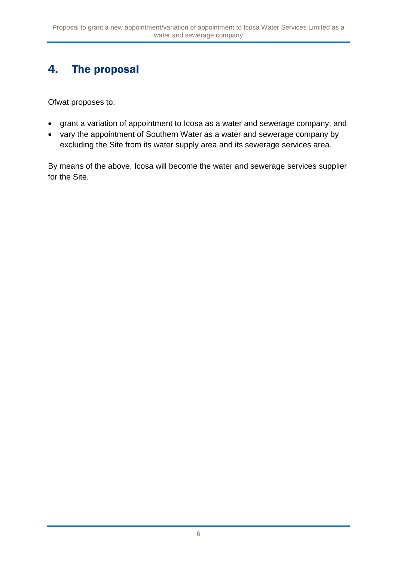## 4. The proposal

Ofwat proposes to:

- grant a variation of appointment to Icosa as a water and sewerage company; and
- vary the appointment of Southern Water as a water and sewerage company by excluding the Site from its water supply area and its sewerage services area.

By means of the above, Icosa will become the water and sewerage services supplier for the Site.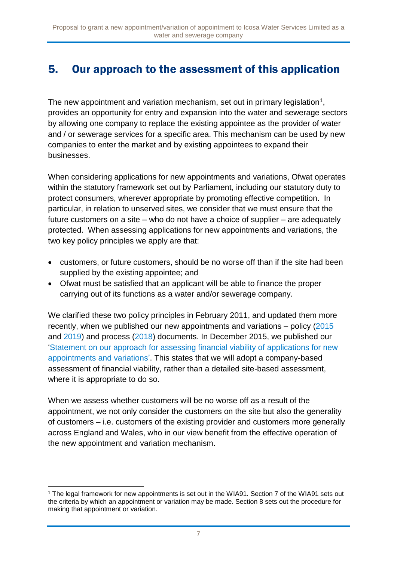### 5. Our approach to the assessment of this application

The new appointment and variation mechanism, set out in primary legislation<sup>1</sup>, provides an opportunity for entry and expansion into the water and sewerage sectors by allowing one company to replace the existing appointee as the provider of water and / or sewerage services for a specific area. This mechanism can be used by new companies to enter the market and by existing appointees to expand their businesses.

When considering applications for new appointments and variations, Ofwat operates within the statutory framework set out by Parliament, including our statutory duty to protect consumers, wherever appropriate by promoting effective competition. In particular, in relation to unserved sites, we consider that we must ensure that the future customers on a site – who do not have a choice of supplier – are adequately protected. When assessing applications for new appointments and variations, the two key policy principles we apply are that:

- customers, or future customers, should be no worse off than if the site had been supplied by the existing appointee; and
- Ofwat must be satisfied that an applicant will be able to finance the proper carrying out of its functions as a water and/or sewerage company.

We clarified these two policy principles in February 2011, and updated them more recently, when we published our new appointments and variations – policy [\(2015](https://www.ofwat.gov.uk/publication/new-appointments-variation-policy/) and [2019\)](https://www.ofwat.gov.uk/publication/conclusions-on-nav-policy-statement/) and process [\(2018\)](https://www.ofwat.gov.uk/wp-content/uploads/2018/08/NAV-application-process-guidance-Sep-18.pdf) documents. In December 2015, we published our ['Statement on our approach for assessing financial viability of applications for new](https://www.ofwat.gov.uk/wp-content/uploads/2015/12/pap_pos20121112navfinance.pdf)  [appointments and variations'.](https://www.ofwat.gov.uk/wp-content/uploads/2015/12/pap_pos20121112navfinance.pdf) This states that we will adopt a company-based assessment of financial viability, rather than a detailed site-based assessment, where it is appropriate to do so.

When we assess whether customers will be no worse off as a result of the appointment, we not only consider the customers on the site but also the generality of customers – i.e. customers of the existing provider and customers more generally across England and Wales, who in our view benefit from the effective operation of the new appointment and variation mechanism.

<sup>1</sup> <sup>1</sup> The legal framework for new appointments is set out in the WIA91. Section 7 of the WIA91 sets out the criteria by which an appointment or variation may be made. Section 8 sets out the procedure for making that appointment or variation.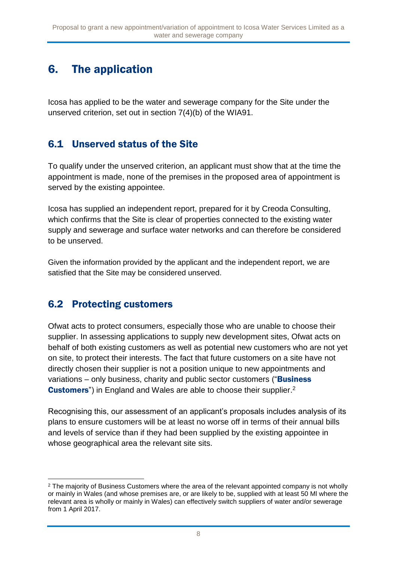### 6. The application

Icosa has applied to be the water and sewerage company for the Site under the unserved criterion, set out in section 7(4)(b) of the WIA91.

### 6.1 Unserved status of the Site

To qualify under the unserved criterion, an applicant must show that at the time the appointment is made, none of the premises in the proposed area of appointment is served by the existing appointee.

Icosa has supplied an independent report, prepared for it by Creoda Consulting, which confirms that the Site is clear of properties connected to the existing water supply and sewerage and surface water networks and can therefore be considered to be unserved.

Given the information provided by the applicant and the independent report, we are satisfied that the Site may be considered unserved.

#### 6.2 Protecting customers

Ofwat acts to protect consumers, especially those who are unable to choose their supplier. In assessing applications to supply new development sites, Ofwat acts on behalf of both existing customers as well as potential new customers who are not yet on site, to protect their interests. The fact that future customers on a site have not directly chosen their supplier is not a position unique to new appointments and variations – only business, charity and public sector customers ("Business") **Customers**") in England and Wales are able to choose their supplier.<sup>2</sup>

Recognising this, our assessment of an applicant's proposals includes analysis of its plans to ensure customers will be at least no worse off in terms of their annual bills and levels of service than if they had been supplied by the existing appointee in whose geographical area the relevant site sits.

<sup>1</sup> <sup>2</sup> The majority of Business Customers where the area of the relevant appointed company is not wholly or mainly in Wales (and whose premises are, or are likely to be, supplied with at least 50 Ml where the relevant area is wholly or mainly in Wales) can effectively switch suppliers of water and/or sewerage from 1 April 2017.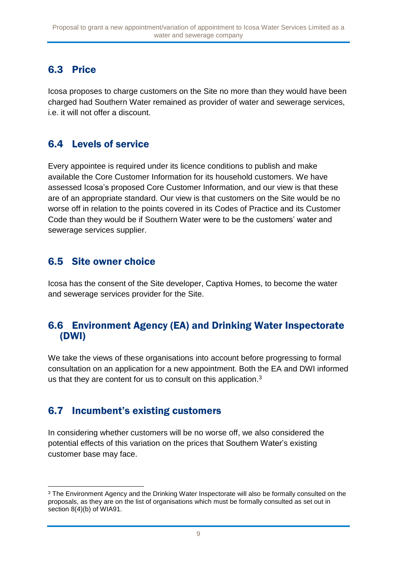### 6.3 Price

Icosa proposes to charge customers on the Site no more than they would have been charged had Southern Water remained as provider of water and sewerage services, i.e. it will not offer a discount.

#### 6.4 Levels of service

Every appointee is required under its licence conditions to publish and make available the Core Customer Information for its household customers. We have assessed Icosa's proposed Core Customer Information, and our view is that these are of an appropriate standard. Our view is that customers on the Site would be no worse off in relation to the points covered in its Codes of Practice and its Customer Code than they would be if Southern Water were to be the customers' water and sewerage services supplier.

#### 6.5 Site owner choice

Icosa has the consent of the Site developer, Captiva Homes, to become the water and sewerage services provider for the Site.

#### 6.6 Environment Agency (EA) and Drinking Water Inspectorate (DWI)

We take the views of these organisations into account before progressing to formal consultation on an application for a new appointment. Both the EA and DWI informed us that they are content for us to consult on this application. $3$ 

### 6.7 Incumbent's existing customers

In considering whether customers will be no worse off, we also considered the potential effects of this variation on the prices that Southern Water's existing customer base may face.

<sup>1</sup> <sup>3</sup> The Environment Agency and the Drinking Water Inspectorate will also be formally consulted on the proposals, as they are on the list of organisations which must be formally consulted as set out in section 8(4)(b) of WIA91.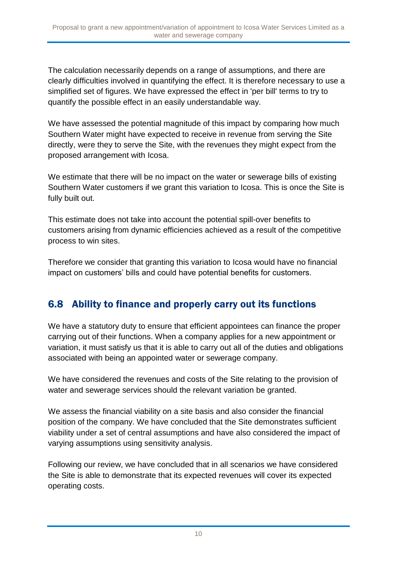The calculation necessarily depends on a range of assumptions, and there are clearly difficulties involved in quantifying the effect. It is therefore necessary to use a simplified set of figures. We have expressed the effect in 'per bill' terms to try to quantify the possible effect in an easily understandable way.

We have assessed the potential magnitude of this impact by comparing how much Southern Water might have expected to receive in revenue from serving the Site directly, were they to serve the Site, with the revenues they might expect from the proposed arrangement with Icosa.

We estimate that there will be no impact on the water or sewerage bills of existing Southern Water customers if we grant this variation to Icosa. This is once the Site is fully built out.

This estimate does not take into account the potential spill-over benefits to customers arising from dynamic efficiencies achieved as a result of the competitive process to win sites.

Therefore we consider that granting this variation to Icosa would have no financial impact on customers' bills and could have potential benefits for customers.

### 6.8 Ability to finance and properly carry out its functions

We have a statutory duty to ensure that efficient appointees can finance the proper carrying out of their functions. When a company applies for a new appointment or variation, it must satisfy us that it is able to carry out all of the duties and obligations associated with being an appointed water or sewerage company.

We have considered the revenues and costs of the Site relating to the provision of water and sewerage services should the relevant variation be granted.

We assess the financial viability on a site basis and also consider the financial position of the company. We have concluded that the Site demonstrates sufficient viability under a set of central assumptions and have also considered the impact of varying assumptions using sensitivity analysis.

Following our review, we have concluded that in all scenarios we have considered the Site is able to demonstrate that its expected revenues will cover its expected operating costs.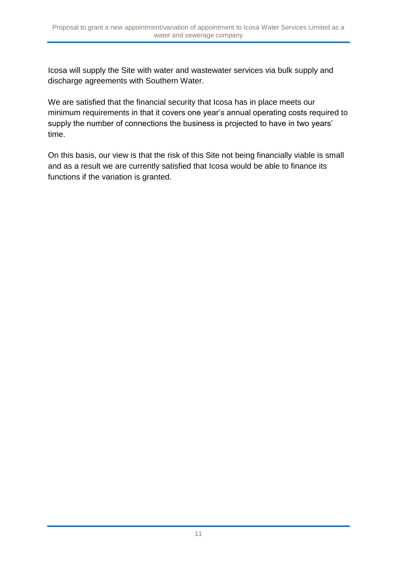Icosa will supply the Site with water and wastewater services via bulk supply and discharge agreements with Southern Water.

We are satisfied that the financial security that Icosa has in place meets our minimum requirements in that it covers one year's annual operating costs required to supply the number of connections the business is projected to have in two years' time.

On this basis, our view is that the risk of this Site not being financially viable is small and as a result we are currently satisfied that Icosa would be able to finance its functions if the variation is granted.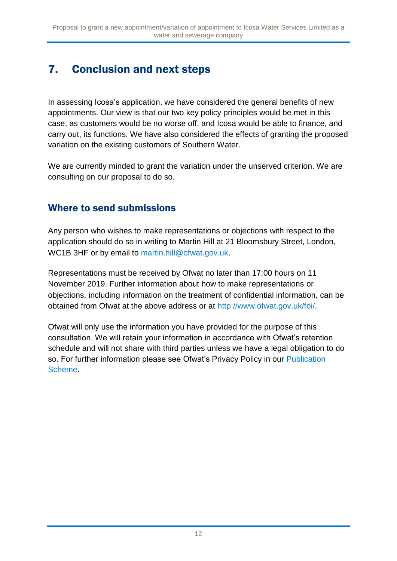# 7. Conclusion and next steps

In assessing Icosa's application, we have considered the general benefits of new appointments. Our view is that our two key policy principles would be met in this case, as customers would be no worse off, and Icosa would be able to finance, and carry out, its functions. We have also considered the effects of granting the proposed variation on the existing customers of Southern Water.

We are currently minded to grant the variation under the unserved criterion. We are consulting on our proposal to do so.

### Where to send submissions

Any person who wishes to make representations or objections with respect to the application should do so in writing to Martin Hill at 21 Bloomsbury Street, London, WC1B 3HF or by email to [martin.hill@ofwat.gov.uk.](mailto:martin.hill@ofwat.gov.uk)

Representations must be received by Ofwat no later than 17:00 hours on 11 November 2019. Further information about how to make representations or objections, including information on the treatment of confidential information, can be obtained from Ofwat at the above address or at [http://www.ofwat.gov.uk/foi/.](http://www.ofwat.gov.uk/foi/)

Ofwat will only use the information you have provided for the purpose of this consultation. We will retain your information in accordance with Ofwat's retention schedule and will not share with third parties unless we have a legal obligation to do so. For further information please see Ofwat's Privacy Policy in our [Publication](http://www.ofwat.gov.uk/publication/privacy-policy/)  [Scheme.](http://www.ofwat.gov.uk/publication/privacy-policy/)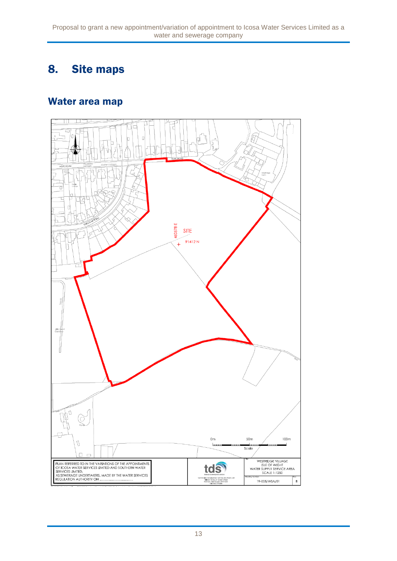### 8. Site maps

#### Water area map

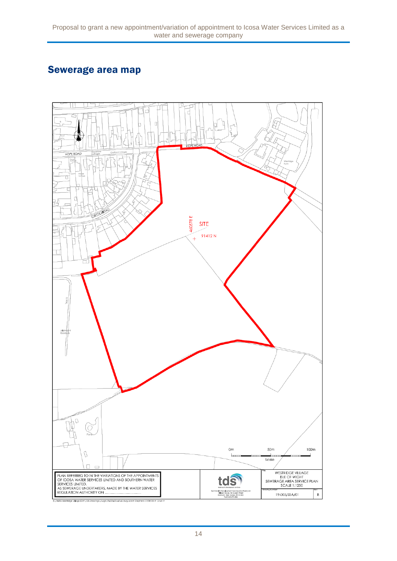### Sewerage area map